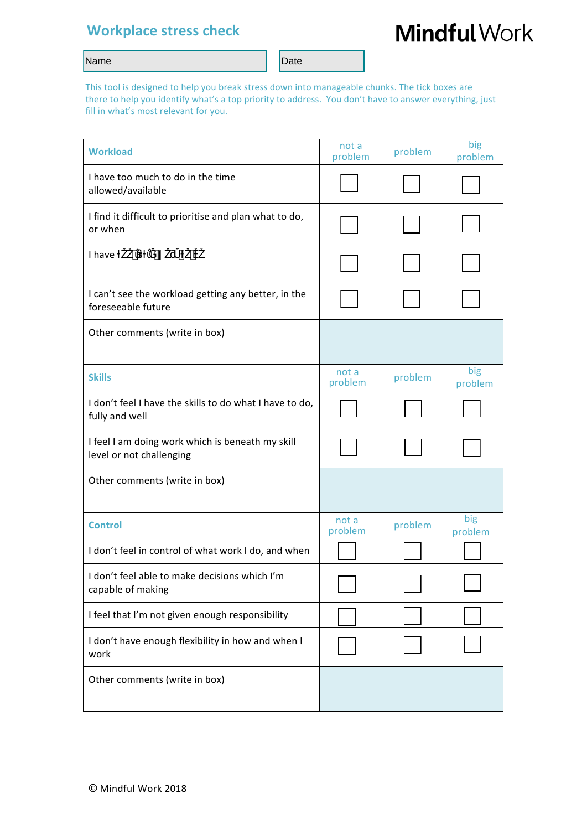# **Workplace stress check**

# **Mindful Work**

#### Name Date Name Date New York 2014

This tool is designed to help you break stress down into manageable chunks. The tick boxes are there to help you identify what's a top priority to address. You don't have to answer everything, just fill in what's most relevant for you.

| <b>Workload</b>                                                              | not a            |         | big            |
|------------------------------------------------------------------------------|------------------|---------|----------------|
|                                                                              | problem          | problem | problem        |
| I have too much to do in the time<br>allowed/available                       |                  |         |                |
| I find it difficult to prioritise and plan what to do,<br>or when            |                  |         |                |
| I have                                                                       |                  |         |                |
| I can't see the workload getting any better, in the<br>foreseeable future    |                  |         |                |
| Other comments (write in box)                                                |                  |         |                |
| <b>Skills</b>                                                                | not a<br>problem | problem | big<br>problem |
| I don't feel I have the skills to do what I have to do,<br>fully and well    |                  |         |                |
| I feel I am doing work which is beneath my skill<br>level or not challenging |                  |         |                |
| Other comments (write in box)                                                |                  |         |                |
| <b>Control</b>                                                               | not a<br>problem | problem | big<br>problem |
| I don't feel in control of what work I do, and when                          |                  |         |                |
| I don't feel able to make decisions which I'm<br>capable of making           |                  |         |                |
| I feel that I'm not given enough responsibility                              |                  |         |                |
| I don't have enough flexibility in how and when I<br>work                    |                  |         |                |
| Other comments (write in box)                                                |                  |         |                |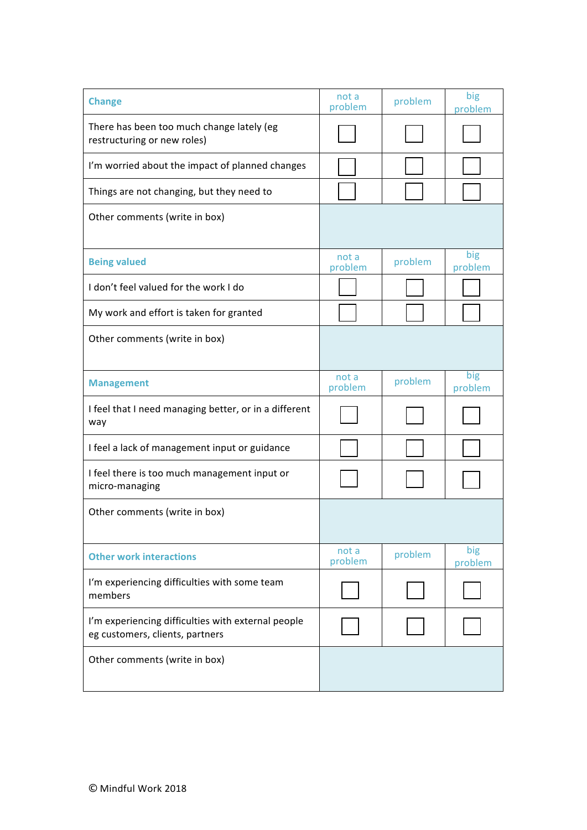| <b>Change</b>                                                                         | not a<br>problem | problem | big<br>problem |
|---------------------------------------------------------------------------------------|------------------|---------|----------------|
| There has been too much change lately (eg<br>restructuring or new roles)              |                  |         |                |
| I'm worried about the impact of planned changes                                       |                  |         |                |
| Things are not changing, but they need to                                             |                  |         |                |
| Other comments (write in box)                                                         |                  |         |                |
| <b>Being valued</b>                                                                   | not a<br>problem | problem | big<br>problem |
| I don't feel valued for the work I do                                                 |                  |         |                |
| My work and effort is taken for granted                                               |                  |         |                |
| Other comments (write in box)                                                         |                  |         |                |
| <b>Management</b>                                                                     | not a<br>problem | problem | big<br>problem |
| I feel that I need managing better, or in a different<br>way                          |                  |         |                |
| I feel a lack of management input or guidance                                         |                  |         |                |
| I feel there is too much management input or<br>micro-managing                        |                  |         |                |
| Other comments (write in box)                                                         |                  |         |                |
| <b>Other work interactions</b>                                                        | not a<br>problem | problem | big<br>problem |
| I'm experiencing difficulties with some team<br>members                               |                  |         |                |
| I'm experiencing difficulties with external people<br>eg customers, clients, partners |                  |         |                |
| Other comments (write in box)                                                         |                  |         |                |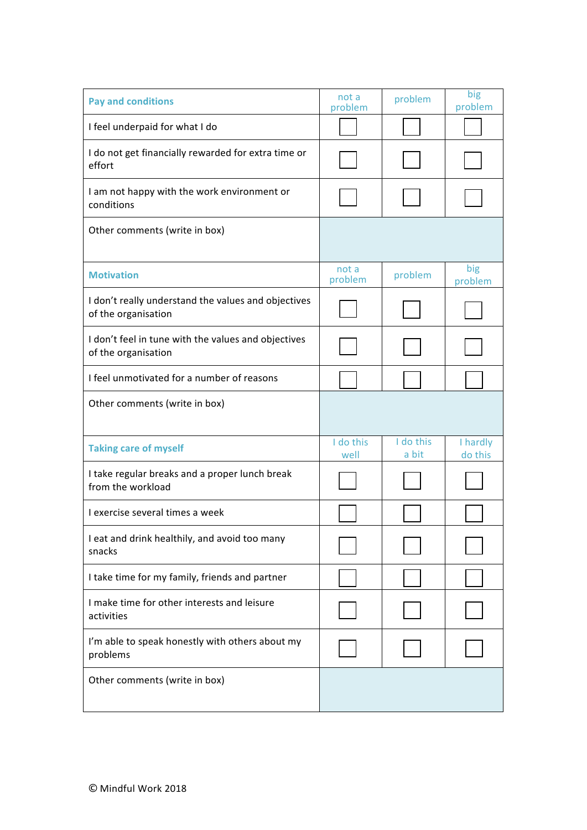| <b>Pay and conditions</b>                                                  | not a<br>problem  | problem            | big<br>problem      |
|----------------------------------------------------------------------------|-------------------|--------------------|---------------------|
| I feel underpaid for what I do                                             |                   |                    |                     |
| I do not get financially rewarded for extra time or<br>effort              |                   |                    |                     |
| I am not happy with the work environment or<br>conditions                  |                   |                    |                     |
| Other comments (write in box)                                              |                   |                    |                     |
| <b>Motivation</b>                                                          | not a<br>problem  | problem            | big<br>problem      |
| I don't really understand the values and objectives<br>of the organisation |                   |                    |                     |
| I don't feel in tune with the values and objectives<br>of the organisation |                   |                    |                     |
| I feel unmotivated for a number of reasons                                 |                   |                    |                     |
| Other comments (write in box)                                              |                   |                    |                     |
| <b>Taking care of myself</b>                                               | I do this<br>well | I do this<br>a bit | I hardly<br>do this |
| I take regular breaks and a proper lunch break<br>from the workload        |                   |                    |                     |
| I exercise several times a week                                            |                   |                    |                     |
| I eat and drink healthily, and avoid too many<br>snacks                    |                   |                    |                     |
| I take time for my family, friends and partner                             |                   |                    |                     |
| I make time for other interests and leisure<br>activities                  |                   |                    |                     |
| I'm able to speak honestly with others about my<br>problems                |                   |                    |                     |
| Other comments (write in box)                                              |                   |                    |                     |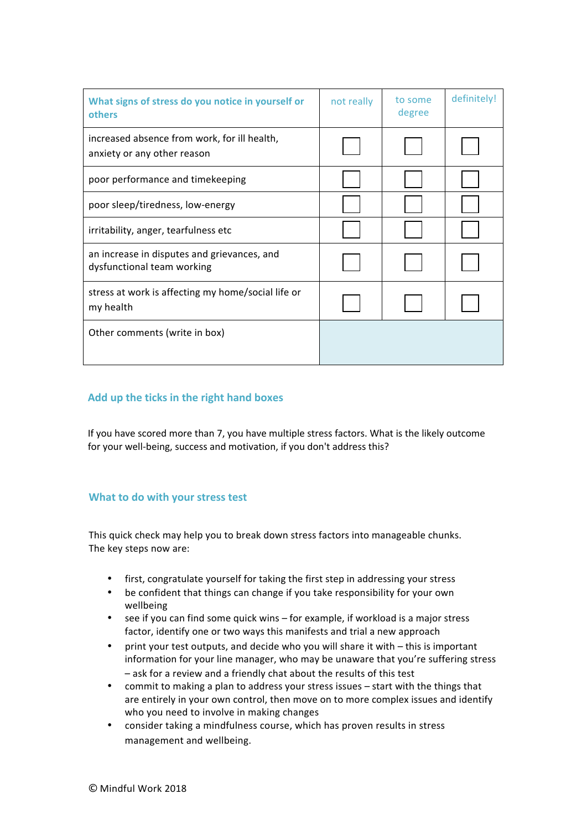| What signs of stress do you notice in yourself or<br>others                 | not really | to some<br>degree | definitely! |
|-----------------------------------------------------------------------------|------------|-------------------|-------------|
| increased absence from work, for ill health,<br>anxiety or any other reason |            |                   |             |
| poor performance and timekeeping                                            |            |                   |             |
| poor sleep/tiredness, low-energy                                            |            |                   |             |
| irritability, anger, tearfulness etc                                        |            |                   |             |
| an increase in disputes and grievances, and<br>dysfunctional team working   |            |                   |             |
| stress at work is affecting my home/social life or<br>my health             |            |                   |             |
| Other comments (write in box)                                               |            |                   |             |

# **Add up the ticks in the right hand boxes**

If you have scored more than 7, you have multiple stress factors. What is the likely outcome for your well-being, success and motivation, if you don't address this?

#### **What to do with your stress test**

This quick check may help you to break down stress factors into manageable chunks. The key steps now are:

- first, congratulate yourself for taking the first step in addressing your stress
- be confident that things can change if you take responsibility for your own wellbeing
- see if you can find some quick wins  $-$  for example, if workload is a major stress factor, identify one or two ways this manifests and trial a new approach
- print your test outputs, and decide who you will share it with this is important information for your line manager, who may be unaware that you're suffering stress - ask for a review and a friendly chat about the results of this test
- commit to making a plan to address your stress issues start with the things that are entirely in your own control, then move on to more complex issues and identify who you need to involve in making changes
- consider taking a mindfulness course, which has proven results in stress management and wellbeing.